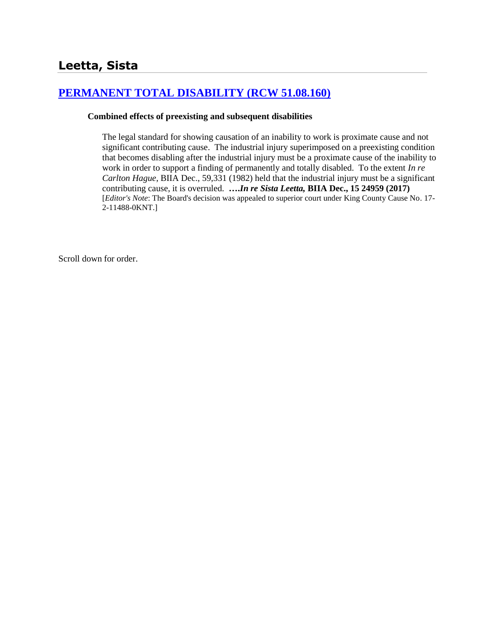# **[PERMANENT TOTAL DISABILITY \(RCW 51.08.160\)](http://www.biia.wa.gov/SDSubjectIndex.html#PERMANENT_TOTAL_DISABILITY)**

#### **Combined effects of preexisting and subsequent disabilities**

The legal standard for showing causation of an inability to work is proximate cause and not significant contributing cause. The industrial injury superimposed on a preexisting condition that becomes disabling after the industrial injury must be a proximate cause of the inability to work in order to support a finding of permanently and totally disabled. To the extent *In re Carlton Hague*, BIIA Dec., 59,331 (1982) held that the industrial injury must be a significant contributing cause, it is overruled. **….***In re Sista Leetta,* **BIIA Dec., 15 24959 (2017)** [*Editor's Note*: The Board's decision was appealed to superior court under King County Cause No. 17- 2-11488-0KNT.]

Scroll down for order.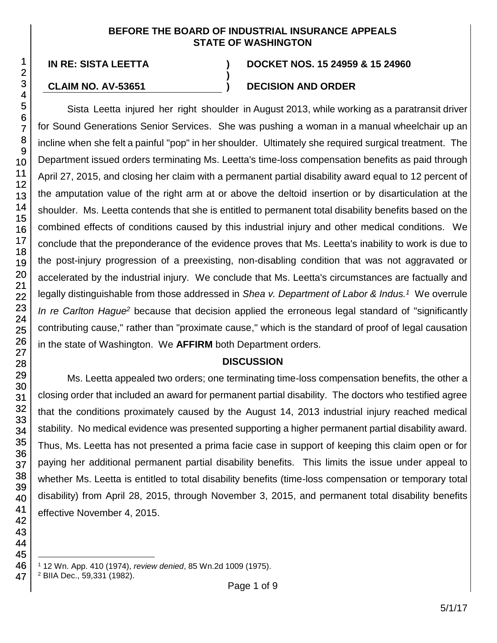#### **BEFORE THE BOARD OF INDUSTRIAL INSURANCE APPEALS STATE OF WASHINGTON**

**)**

#### **IN RE: SISTA LEETTA ) DOCKET NOS. 15 24959 & 15 24960**

## **CLAIM NO. AV-53651 ) DECISION AND ORDER**

Sista Leetta injured her right shoulder in August 2013, while working as a paratransit driver for Sound Generations Senior Services. She was pushing a woman in a manual wheelchair up an incline when she felt a painful "pop" in her shoulder. Ultimately she required surgical treatment. The Department issued orders terminating Ms. Leetta's time-loss compensation benefits as paid through April 27, 2015, and closing her claim with a permanent partial disability award equal to 12 percent of the amputation value of the right arm at or above the deltoid insertion or by disarticulation at the shoulder. Ms. Leetta contends that she is entitled to permanent total disability benefits based on the combined effects of conditions caused by this industrial injury and other medical conditions. We conclude that the preponderance of the evidence proves that Ms. Leetta's inability to work is due to the post-injury progression of a preexisting, non-disabling condition that was not aggravated or accelerated by the industrial injury. We conclude that Ms. Leetta's circumstances are factually and legally distinguishable from those addressed in *Shea v. Department of Labor & Indus.<sup>1</sup>* We overrule *In re Carlton Hague<sup>2</sup>* because that decision applied the erroneous legal standard of "significantly contributing cause," rather than "proximate cause," which is the standard of proof of legal causation in the state of Washington. We **AFFIRM** both Department orders.

#### **DISCUSSION**

Ms. Leetta appealed two orders; one terminating time-loss compensation benefits, the other a closing order that included an award for permanent partial disability. The doctors who testified agree that the conditions proximately caused by the August 14, 2013 industrial injury reached medical stability. No medical evidence was presented supporting a higher permanent partial disability award. Thus, Ms. Leetta has not presented a prima facie case in support of keeping this claim open or for paying her additional permanent partial disability benefits. This limits the issue under appeal to whether Ms. Leetta is entitled to total disability benefits (time-loss compensation or temporary total disability) from April 28, 2015, through November 3, 2015, and permanent total disability benefits effective November 4, 2015.

l <sup>1</sup> 12 Wn. App. 410 (1974), *review denied*, 85 Wn.2d 1009 (1975).

<sup>2</sup> BIIA Dec., 59,331 (1982).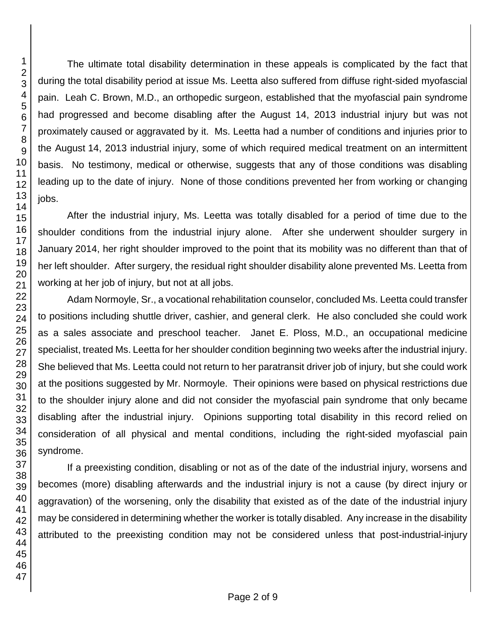The ultimate total disability determination in these appeals is complicated by the fact that during the total disability period at issue Ms. Leetta also suffered from diffuse right-sided myofascial pain. Leah C. Brown, M.D., an orthopedic surgeon, established that the myofascial pain syndrome had progressed and become disabling after the August 14, 2013 industrial injury but was not proximately caused or aggravated by it. Ms. Leetta had a number of conditions and injuries prior to the August 14, 2013 industrial injury, some of which required medical treatment on an intermittent basis. No testimony, medical or otherwise, suggests that any of those conditions was disabling leading up to the date of injury. None of those conditions prevented her from working or changing jobs.

After the industrial injury, Ms. Leetta was totally disabled for a period of time due to the shoulder conditions from the industrial injury alone. After she underwent shoulder surgery in January 2014, her right shoulder improved to the point that its mobility was no different than that of her left shoulder. After surgery, the residual right shoulder disability alone prevented Ms. Leetta from working at her job of injury, but not at all jobs.

Adam Normoyle, Sr., a vocational rehabilitation counselor, concluded Ms. Leetta could transfer to positions including shuttle driver, cashier, and general clerk. He also concluded she could work as a sales associate and preschool teacher. Janet E. Ploss, M.D., an occupational medicine specialist, treated Ms. Leetta for her shoulder condition beginning two weeks after the industrial injury. She believed that Ms. Leetta could not return to her paratransit driver job of injury, but she could work at the positions suggested by Mr. Normoyle. Their opinions were based on physical restrictions due to the shoulder injury alone and did not consider the myofascial pain syndrome that only became disabling after the industrial injury. Opinions supporting total disability in this record relied on consideration of all physical and mental conditions, including the right-sided myofascial pain syndrome.

If a preexisting condition, disabling or not as of the date of the industrial injury, worsens and becomes (more) disabling afterwards and the industrial injury is not a cause (by direct injury or aggravation) of the worsening, only the disability that existed as of the date of the industrial injury may be considered in determining whether the worker is totally disabled. Any increase in the disability attributed to the preexisting condition may not be considered unless that post-industrial-injury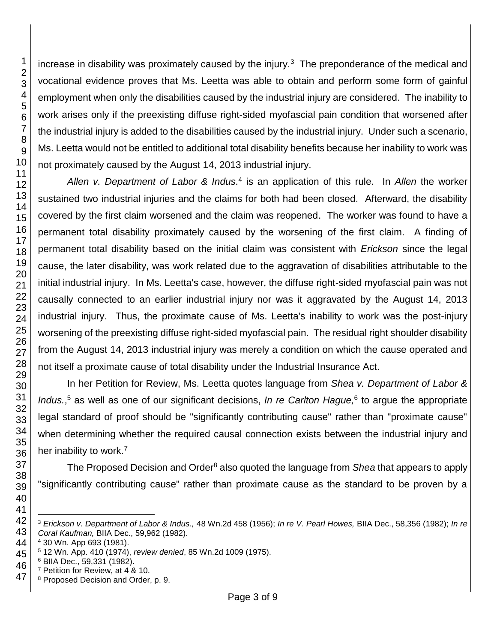increase in disability was proximately caused by the injury*.* 3 The preponderance of the medical and vocational evidence proves that Ms. Leetta was able to obtain and perform some form of gainful employment when only the disabilities caused by the industrial injury are considered. The inability to work arises only if the preexisting diffuse right-sided myofascial pain condition that worsened after the industrial injury is added to the disabilities caused by the industrial injury. Under such a scenario, Ms. Leetta would not be entitled to additional total disability benefits because her inability to work was not proximately caused by the August 14, 2013 industrial injury.

Allen v. Department of Labor & Indus.<sup>4</sup> is an application of this rule. In Allen the worker sustained two industrial injuries and the claims for both had been closed. Afterward, the disability covered by the first claim worsened and the claim was reopened. The worker was found to have a permanent total disability proximately caused by the worsening of the first claim. A finding of permanent total disability based on the initial claim was consistent with *Erickson* since the legal cause, the later disability, was work related due to the aggravation of disabilities attributable to the initial industrial injury. In Ms. Leetta's case, however, the diffuse right-sided myofascial pain was not causally connected to an earlier industrial injury nor was it aggravated by the August 14, 2013 industrial injury. Thus, the proximate cause of Ms. Leetta's inability to work was the post-injury worsening of the preexisting diffuse right-sided myofascial pain. The residual right shoulder disability from the August 14, 2013 industrial injury was merely a condition on which the cause operated and not itself a proximate cause of total disability under the Industrial Insurance Act.

In her Petition for Review, Ms. Leetta quotes language from *Shea v. Department of Labor &*  Indus.<sup>5</sup> as well as one of our significant decisions, In re Carlton Hague,<sup>6</sup> to argue the appropriate legal standard of proof should be "significantly contributing cause" rather than "proximate cause" when determining whether the required causal connection exists between the industrial injury and her inability to work.<sup>7</sup>

The Proposed Decision and Order<sup>8</sup> also quoted the language from *Shea* that appears to apply "significantly contributing cause" rather than proximate cause as the standard to be proven by a

l *Erickson v. Department of Labor & Indus.,* 48 Wn.2d 458 (1956); *In re V. Pearl Howes,* BIIA Dec., 58,356 (1982); *In re Coral Kaufman,* BIIA Dec., 59,962 (1982).

30 Wn. App 693 (1981).

12 Wn. App. 410 (1974), *review denied*, 85 Wn.2d 1009 (1975).

BIIA Dec., 59,331 (1982).

Petition for Review, at 4 & 10.

Proposed Decision and Order, p. 9.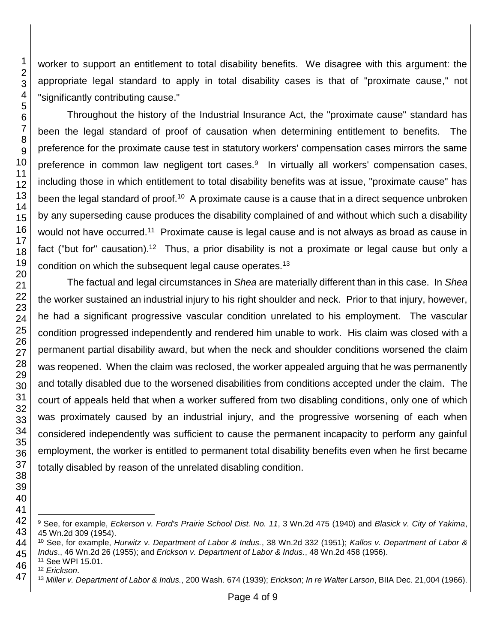worker to support an entitlement to total disability benefits. We disagree with this argument: the appropriate legal standard to apply in total disability cases is that of "proximate cause," not "significantly contributing cause."

Throughout the history of the Industrial Insurance Act, the "proximate cause" standard has been the legal standard of proof of causation when determining entitlement to benefits. The preference for the proximate cause test in statutory workers' compensation cases mirrors the same preference in common law negligent tort cases.<sup>9</sup> In virtually all workers' compensation cases, including those in which entitlement to total disability benefits was at issue, "proximate cause" has been the legal standard of proof.<sup>10</sup> A proximate cause is a cause that in a direct sequence unbroken by any superseding cause produces the disability complained of and without which such a disability would not have occurred.<sup>11</sup> Proximate cause is legal cause and is not always as broad as cause in fact ("but for" causation).<sup>12</sup> Thus, a prior disability is not a proximate or legal cause but only a condition on which the subsequent legal cause operates.<sup>13</sup>

The factual and legal circumstances in *Shea* are materially different than in this case. In *Shea* the worker sustained an industrial injury to his right shoulder and neck. Prior to that injury, however, he had a significant progressive vascular condition unrelated to his employment. The vascular condition progressed independently and rendered him unable to work. His claim was closed with a permanent partial disability award, but when the neck and shoulder conditions worsened the claim was reopened. When the claim was reclosed, the worker appealed arguing that he was permanently and totally disabled due to the worsened disabilities from conditions accepted under the claim. The court of appeals held that when a worker suffered from two disabling conditions, only one of which was proximately caused by an industrial injury, and the progressive worsening of each when considered independently was sufficient to cause the permanent incapacity to perform any gainful employment, the worker is entitled to permanent total disability benefits even when he first became totally disabled by reason of the unrelated disabling condition.

l

 

 See, for example, *Eckerson v. Ford's Prairie School Dist. No. 11*, 3 Wn.2d 475 (1940) and *Blasick v. City of Yakima*, Wn.2d 309 (1954).

 See, for example, *Hurwitz v. Department of Labor & Indus.*, 38 Wn.2d 332 (1951); *Kallos v. Department of Labor & Indus*., 46 Wn.2d 26 (1955); and *Erickson v. Department of Labor & Indus.*, 48 Wn.2d 458 (1956).

See WPI 15.01.

*Erickson*.

*Miller v. Department of Labor & Indus.*, 200 Wash. 674 (1939); *Erickson*; *In re Walter Larson*, BIIA Dec. 21,004 (1966).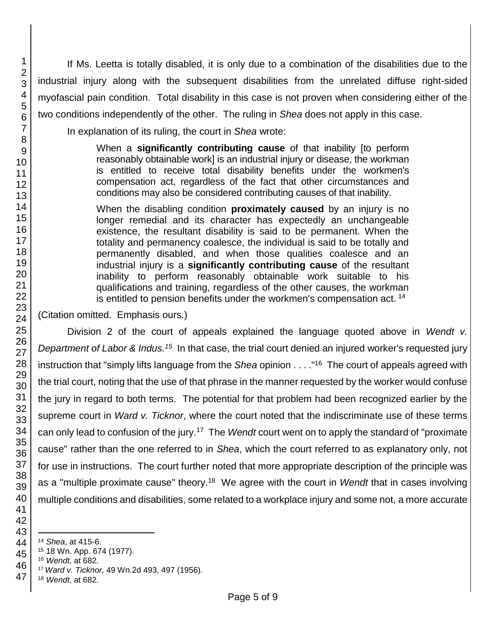If Ms. Leetta is totally disabled, it is only due to a combination of the disabilities due to the industrial injury along with the subsequent disabilities from the unrelated diffuse right-sided myofascial pain condition. Total disability in this case is not proven when considering either of the two conditions independently of the other. The ruling in *Shea* does not apply in this case.

In explanation of its ruling, the court in *Shea* wrote:

When a **significantly contributing cause** of that inability [to perform reasonably obtainable work] is an industrial injury or disease, the workman is entitled to receive total disability benefits under the workmen's compensation act, regardless of the fact that other circumstances and conditions may also be considered contributing causes of that inability.

When the disabling condition **proximately caused** by an injury is no longer remedial and its character has expectedly an unchangeable existence, the resultant disability is said to be permanent. When the totality and permanency coalesce, the individual is said to be totally and permanently disabled, and when those qualities coalesce and an industrial injury is a **significantly contributing cause** of the resultant inability to perform reasonably obtainable work suitable to his qualifications and training, regardless of the other causes, the workman is entitled to pension benefits under the workmen's compensation act.<sup>14</sup>

(Citation omitted. Emphasis ours.)

Division 2 of the court of appeals explained the language quoted above in *Wendt v.*  Department of Labor & Indus.<sup>15</sup> In that case, the trial court denied an injured worker's requested jury instruction that "simply lifts language from the *Shea* opinion . . . ." 16 The court of appeals agreed with the trial court, noting that the use of that phrase in the manner requested by the worker would confuse the jury in regard to both terms. The potential for that problem had been recognized earlier by the supreme court in *Ward v. Ticknor*, where the court noted that the indiscriminate use of these terms can only lead to confusion of the jury.<sup>17</sup> The *Wendt* court went on to apply the standard of "proximate cause" rather than the one referred to in *Shea*, which the court referred to as explanatory only, not for use in instructions. The court further noted that more appropriate description of the principle was as a "multiple proximate cause" theory.<sup>18</sup> We agree with the court in *Wendt* that in cases involving multiple conditions and disabilities, some related to a workplace injury and some not, a more accurate

 *Wendt*, at 682.

l *Shea*, at 415-6.

18 Wn. App. 674 (1977).

*Wendt,* at 682.

*Ward v. Ticknor,* 49 Wn.2d 493, 497 (1956).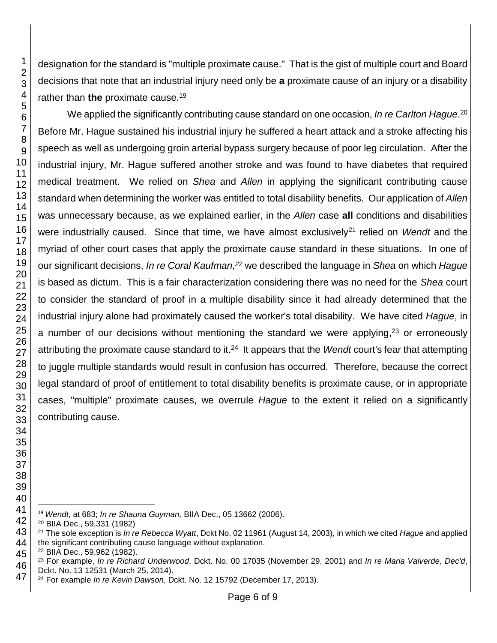designation for the standard is "multiple proximate cause." That is the gist of multiple court and Board decisions that note that an industrial injury need only be **a** proximate cause of an injury or a disability rather than **the** proximate cause.<sup>19</sup> We applied the significantly contributing cause standard on one occasion, *In re Carlton Hague*. 20 Before Mr. Hague sustained his industrial injury he suffered a heart attack and a stroke affecting his speech as well as undergoing groin arterial bypass surgery because of poor leg circulation. After the industrial injury, Mr. Hague suffered another stroke and was found to have diabetes that required

medical treatment. We relied on *Shea* and *Allen* in applying the significant contributing cause standard when determining the worker was entitled to total disability benefits. Our application of *Allen* was unnecessary because, as we explained earlier, in the *Allen* case **all** conditions and disabilities were industrially caused. Since that time, we have almost exclusively<sup>21</sup> relied on *Wendt* and the myriad of other court cases that apply the proximate cause standard in these situations. In one of our significant decisions, *In re Coral Kaufman,<sup>22</sup>* we described the language in *Shea* on which *Hague*  is based as dictum. This is a fair characterization considering there was no need for the *Shea* court to consider the standard of proof in a multiple disability since it had already determined that the industrial injury alone had proximately caused the worker's total disability. We have cited *Hague*, in a number of our decisions without mentioning the standard we were applying, or erroneously attributing the proximate cause standard to it. <sup>24</sup> It appears that the *Wendt* court's fear that attempting to juggle multiple standards would result in confusion has occurred. Therefore, because the correct legal standard of proof of entitlement to total disability benefits is proximate cause, or in appropriate cases, "multiple" proximate causes, we overrule *Hague* to the extent it relied on a significantly contributing cause.

- l *Wendt*, at 683; *In re Shauna Guyman,* BIIA Dec., 05 13662 (2006).
- BIIA Dec., 59,331 (1982)

 The sole exception is *In re Rebecca Wyatt*, Dckt No. 02 11961 (August 14, 2003), in which we cited *Hague* and applied the significant contributing cause language without explanation.

BIIA Dec., 59,962 (1982).

 For example, *In re Richard Underwood*, Dckt. No. 00 17035 (November 29, 2001) and *In re Maria Valverde, Dec'd*, Dckt. No. 13 12531 (March 25, 2014).

For example *In re Kevin Dawson*, Dckt. No. 12 15792 (December 17, 2013).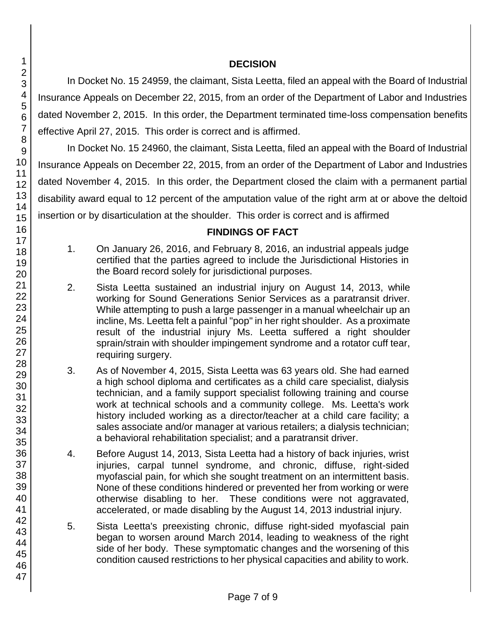## **DECISION**

In Docket No. 15 24959, the claimant, Sista Leetta, filed an appeal with the Board of Industrial Insurance Appeals on December 22, 2015, from an order of the Department of Labor and Industries dated November 2, 2015. In this order, the Department terminated time-loss compensation benefits effective April 27, 2015. This order is correct and is affirmed.

In Docket No. 15 24960, the claimant, Sista Leetta, filed an appeal with the Board of Industrial Insurance Appeals on December 22, 2015, from an order of the Department of Labor and Industries dated November 4, 2015. In this order, the Department closed the claim with a permanent partial disability award equal to 12 percent of the amputation value of the right arm at or above the deltoid insertion or by disarticulation at the shoulder. This order is correct and is affirmed

#### **FINDINGS OF FACT**

- 1. On January 26, 2016, and February 8, 2016, an industrial appeals judge certified that the parties agreed to include the Jurisdictional Histories in the Board record solely for jurisdictional purposes.
- 2. Sista Leetta sustained an industrial injury on August 14, 2013, while working for Sound Generations Senior Services as a paratransit driver. While attempting to push a large passenger in a manual wheelchair up an incline, Ms. Leetta felt a painful "pop" in her right shoulder. As a proximate result of the industrial injury Ms. Leetta suffered a right shoulder sprain/strain with shoulder impingement syndrome and a rotator cuff tear, requiring surgery.
- 3. As of November 4, 2015, Sista Leetta was 63 years old. She had earned a high school diploma and certificates as a child care specialist, dialysis technician, and a family support specialist following training and course work at technical schools and a community college. Ms. Leetta's work history included working as a director/teacher at a child care facility; a sales associate and/or manager at various retailers; a dialysis technician; a behavioral rehabilitation specialist; and a paratransit driver.
- 4. Before August 14, 2013, Sista Leetta had a history of back injuries, wrist injuries, carpal tunnel syndrome, and chronic, diffuse, right-sided myofascial pain, for which she sought treatment on an intermittent basis. None of these conditions hindered or prevented her from working or were otherwise disabling to her. These conditions were not aggravated, accelerated, or made disabling by the August 14, 2013 industrial injury.
- 5. Sista Leetta's preexisting chronic, diffuse right-sided myofascial pain began to worsen around March 2014, leading to weakness of the right side of her body. These symptomatic changes and the worsening of this condition caused restrictions to her physical capacities and ability to work.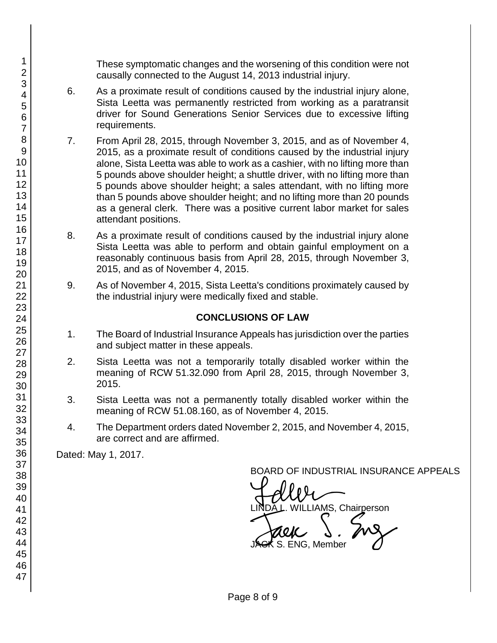These symptomatic changes and the worsening of this condition were not causally connected to the August 14, 2013 industrial injury.

- 6. As a proximate result of conditions caused by the industrial injury alone, Sista Leetta was permanently restricted from working as a paratransit driver for Sound Generations Senior Services due to excessive lifting requirements.
- 7. From April 28, 2015, through November 3, 2015, and as of November 4, 2015, as a proximate result of conditions caused by the industrial injury alone, Sista Leetta was able to work as a cashier, with no lifting more than 5 pounds above shoulder height; a shuttle driver, with no lifting more than 5 pounds above shoulder height; a sales attendant, with no lifting more than 5 pounds above shoulder height; and no lifting more than 20 pounds as a general clerk. There was a positive current labor market for sales attendant positions.
- 8. As a proximate result of conditions caused by the industrial injury alone Sista Leetta was able to perform and obtain gainful employment on a reasonably continuous basis from April 28, 2015, through November 3, 2015, and as of November 4, 2015.
- 9. As of November 4, 2015, Sista Leetta's conditions proximately caused by the industrial injury were medically fixed and stable.

#### **CONCLUSIONS OF LAW**

- 1. The Board of Industrial Insurance Appeals has jurisdiction over the parties and subject matter in these appeals.
- 2. Sista Leetta was not a temporarily totally disabled worker within the meaning of RCW 51.32.090 from April 28, 2015, through November 3, 2015.
- 3. Sista Leetta was not a permanently totally disabled worker within the meaning of RCW 51.08.160, as of November 4, 2015.
- 4. The Department orders dated November 2, 2015, and November 4, 2015, are correct and are affirmed.

Dated: May 1, 2017.

BOARD OF INDUSTRIAL INSURANCE APPEALS

BOARD OF INDUSTRIAL INSURAM<br>LINDA L. WILLIAMS, Chairperson<br>JACK S. ENG, Member

S. ENG, Member

Page 8 of 9

1